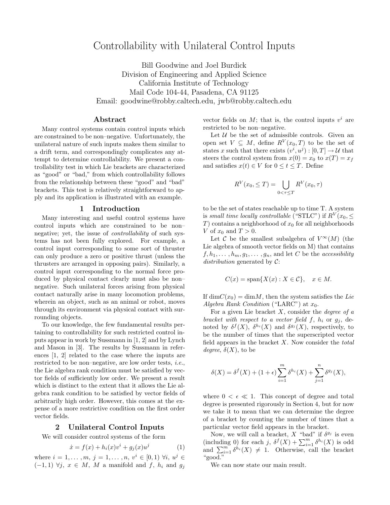# Controllability with Unilateral Control Inputs

Bill Goodwine and Joel Burdick Division of Engineering and Applied Science California Institute of Technology Mail Code 104-44, Pasadena, CA 91125 Email: goodwine@robby.caltech.edu, jwb@robby.caltech.edu

# **Abstract**

Many control systems contain control inputs which are constrained to be non–negative. Unfortunately, the unilateral nature of such inputs makes them similar to a drift term, and correspondingly complicates any attempt to determine controllability. We present a controllability test in which Lie brackets are characterized as "good" or "bad," from which controllability follows from the relationship between these "good" and "bad" brackets. This test is relatively straightforward to apply and its application is illustrated with an example.

#### **1 Introduction**

Many interesting and useful control systems have control inputs which are constrained to be non– negative; yet, the issue of *controllability* of such systems has not been fully explored. For example, a control input corresponding to some sort of thruster can only produce a zero or positive thrust (unless the thrusters are arranged in opposing pairs). Similarly, a control input corresponding to the normal force produced by physical contact clearly must also be non– negative. Such unilateral forces arising from physical contact naturally arise in many locomotion problems, wherein an object, such as an animal or robot, moves through its environment via physical contact with surrounding objects.

To our knowledge, the few fundamental results pertaining to controllability for such restricted control inputs appear in work by Sussmann in [1, 2] and by Lynch and Mason in [3]. The results by Sussmann in references [1, 2] related to the case where the inputs are restricted to be non–negative, are low order tests, i.e., the Lie algebra rank condition must be satisfied by vector fields of sufficiently low order. We present a result which is distinct to the extent that it allows the Lie algebra rank condition to be satisfied by vector fields of arbitrarily high order. However, this comes at the expense of a more restrictive condition on the first order vector fields.

# **2 Unilateral Control Inputs**

We will consider control systems of the form

$$
\dot{x} = f(x) + h_i(x)v^i + g_j(x)u^j \tag{1}
$$

where  $i = 1, ..., m, j = 1, ..., n, v^{i} \in [0, 1) \ \forall i, u^{j} \in$  $(-1, 1) \ \forall j, \ x \in M, \ M \text{ a manifold and } f, \ h_i \text{ and } g_j$ 

vector fields on  $M$ ; that is, the control inputs  $v^i$  are restricted to be non–negative.

Let  $U$  be the set of admissible controls. Given an open set  $V \subseteq M$ , define  $R^V(x_0,T)$  to be the set of states x such that there exists  $(v^i, u^j) : [0, T] \to \mathcal{U}$  that steers the control system from  $x(0) = x_0$  to  $x(T) = x_f$ and satisfies  $x(t) \in V$  for  $0 \le t \le T$ . Define

$$
R^V(x_0, \leq T) = \bigcup_{0 < \tau \leq T} R^V(x_0, \tau)
$$

to be the set of states reachable up to time T. A system is small time locally controllable ("STLC") if  $R^V(x_0, \leq$ T) contains a neighborhood of  $x_0$  for all neighborhoods V of  $x_0$  and  $T > 0$ .

Let C be the smallest subalgebra of  $V^{\infty}(M)$  (the Lie algebra of smooth vector fields on M) that contains  $f, h_1, \ldots, h_m, g_1, \ldots, g_n$ , and let C be the accessibility distribution generated by  $\mathcal{C}$ :

$$
C(x) = \text{span}\{X(x) : X \in \mathcal{C}\}, \quad x \in M.
$$

If  $\dim C(x_0) = \dim M$ , then the system satisfies the Lie Algebra Rank Condition ("LARC") at  $x_0$ .

For a given Lie bracket  $X$ , consider the *degree of a* bracket with respect to a vector field f,  $h_i$  or  $g_i$ , denoted by  $\delta^f(X)$ ,  $\delta^{h_i}(X)$  and  $\delta^{g_j}(X)$ , respectively, to be the number of times that the superscripted vector field appears in the bracket  $X$ . Now consider the *total* degree,  $\delta(X)$ , to be

$$
\delta(X) = \delta^{f}(X) + (1 + \epsilon) \sum_{i=1}^{m} \delta^{h_i}(X) + \sum_{j=1}^{n} \delta^{g_j}(X),
$$

where  $0 < \epsilon \ll 1$ . This concept of degree and total degree is presented rigorously in Section 4, but for now we take it to mean that we can determine the degree of a bracket by counting the number of times that a particular vector field appears in the bracket.

Now, we will call a bracket, X "bad" if  $\delta^{g_j}$  is even (including 0) for each j,  $\delta^f(X) + \sum_{i=1}^m \delta^{h_i}(X)$  is odd and  $\sum_{i=1}^{m} \delta^{h_i}(X) \neq 1$ . Otherwise, call the bracket "good."

We can now state our main result.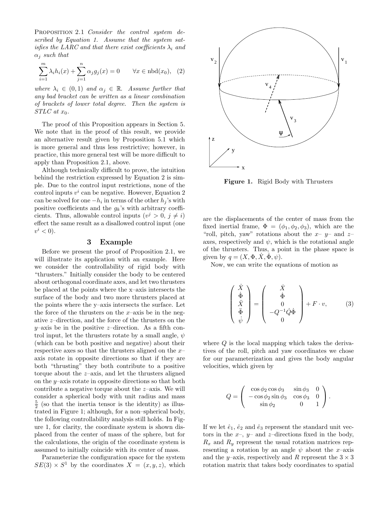PROPOSITION 2.1 Consider the control system described by Equation 1. Assume that the system satisfies the LARC and that there exist coefficients  $\lambda_i$  and  $\alpha_i$  such that

$$
\sum_{i=1}^{m} \lambda_i h_i(x) + \sum_{j=1}^{n} \alpha_j g_j(x) = 0 \quad \forall x \in \text{nbd}(x_0), \tag{2}
$$

where  $\lambda_i \in (0,1)$  and  $\alpha_j \in \mathbb{R}$ . Assume further that any bad bracket can be written as a linear combination of brackets of lower total degree. Then the system is  $STLC$  at  $x_0$ .

The proof of this Proposition appears in Section 5. We note that in the proof of this result, we provide an alternative result given by Proposition 5.1 which is more general and thus less restrictive; however, in practice, this more general test will be more difficult to apply than Proposition 2.1, above.

Although technically difficult to prove, the intuition behind the restriction expressed by Equation 2 is simple. Due to the control input restrictions, none of the control inputs  $v^i$  can be negative. However, Equation 2 can be solved for one  $-h_i$  in terms of the other  $h_i$ 's with positive coefficients and the  $q_k$ 's with arbitrary coefficients. Thus, allowable control inputs  $(v^j > 0, j \neq i)$ effect the same result as a disallowed control input (one  $v^i < 0$ ).

### **3 Example**

Before we present the proof of Proposition 2.1, we will illustrate its application with an example. Here we consider the controllability of rigid body with "thrusters." Initially consider the body to be centered about orthogonal coordinate axes, and let two thrusters be placed at the points where the x–axis intersects the surface of the body and two more thrusters placed at the points where the y–axis intersects the surface. Let the force of the thrusters on the  $x$ –axis be in the negative z–direction, and the force of the thrusters on the y–axis be in the positive *z*–direction. As a fifth control input, let the thrusters rotate by a small angle,  $\psi$ (which can be both positive and negative) about their respective axes so that the thrusters aligned on the  $x$ axis rotate in opposite directions so that if they are both "thrusting" they both contribute to a positive torque about the  $z$ -axis, and let the thrusters aligned on the  $y$ –axis rotate in opposite directions so that both contribute a negative torque about the  $z$ –axis. We will consider a spherical body with unit radius and mass  $\frac{5}{2}$  (so that the inertia tensor is the identity) as illustrated in Figure 1; although, for a non–spherical body, the following controllability analysis still holds. In Figure 1, for clarity, the coordinate system is shown displaced from the center of mass of the sphere, but for the calculations, the origin of the coordinate system is assumed to initially coincide with its center of mass.

Parameterize the configuration space for the system  $SE(3) \times S^1$  by the coordinates  $X = (x, y, z)$ , which



**Figure 1.** Rigid Body with Thrusters

are the displacements of the center of mass from the fixed inertial frame,  $\Phi = (\phi_1, \phi_2, \phi_3)$ , which are the "roll, pitch, yaw" rotations about the  $x-y-$  and  $z$ axes, respectively and  $\psi$ , which is the rotational angle of the thrusters. Thus, a point in the phase space is given by  $q = (X, \Phi, X, \Phi, \psi)$ .

Now, we can write the equations of motion as

$$
\begin{pmatrix}\n\dot{X} \\
\dot{\Phi} \\
\ddot{X} \\
\ddot{\Phi} \\
\dot{\psi}\n\end{pmatrix} = \begin{pmatrix}\n\dot{X} \\
\dot{\Phi} \\
0 \\
-Q^{-1}\dot{Q}\dot{\Phi} \\
0\n\end{pmatrix} + F \cdot v,\n\tag{3}
$$

where  $Q$  is the local mapping which takes the derivatives of the roll, pitch and yaw coordinates we chose for our parameterization and gives the body angular velocities, which given by

$$
Q = \left(\begin{array}{ccc} \cos\phi_2\cos\phi_3 & \sin\phi_3 & 0 \\ -\cos\phi_2\sin\phi_3 & \cos\phi_3 & 0 \\ \sin\phi_2 & 0 & 1 \end{array}\right).
$$

If we let  $\hat{e}_1$ ,  $\hat{e}_2$  and  $\hat{e}_3$  represent the standard unit vectors in the  $x-$ ,  $y-$  and  $z$ -directions fixed in the body,  $R_x$  and  $R_y$  represent the usual rotation matrices representing a rotation by an angle  $\psi$  about the x-axis and the y–axis, respectively and R represent the  $3 \times 3$ rotation matrix that takes body coordinates to spatial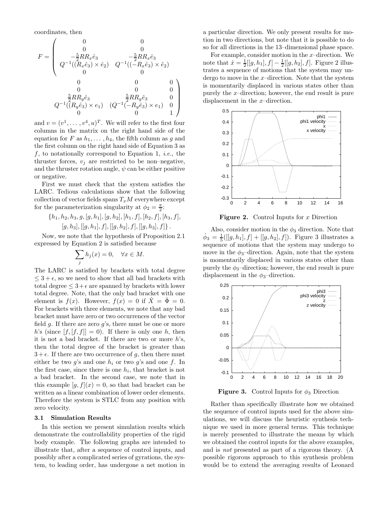coordinates, then

$$
F = \left(\begin{array}{ccccc} 0 & 0 & 0 \\ 0 & 0 & 0 \\ -\frac{5}{2}RR_x\hat{e}_3 & -\frac{5}{2}RR_x\hat{e}_3 \\ Q^{-1}((R_x\hat{e}_3)\times\hat{e}_2) & Q^{-1}((-R_x\hat{e}_3)\times\hat{e}_2) \\ 0 & 0 & 0 \\ 0 & 0 & 0 \\ 0 & 0 & 0 \\ \frac{5}{2}RR_y\hat{e}_3 & \frac{5}{2}RR_y\hat{e}_3 & 0 \\ Q^{-1}((R_y\hat{e}_3)\times e_1) & (Q^{-1}(-R_y\hat{e}_3)\times e_1) & 0 \\ 0 & 0 & 1 \end{array}\right)
$$

and  $v = (v^1, \dots, v^4, u)^T$ . We will refer to the first four columns in the matrix on the right hand side of the equation for F as  $h_1, \ldots, h_4$ , the fifth column as g and the first column on the right hand side of Equation 3 as  $f$ , to notationally correspond to Equation 1, *i.e.*, the thruster forces,  $v_i$  are restricted to be non-negative, and the thruster rotation angle,  $\psi$  can be either positive or negative.

First we must check that the system satisfies the LARC. Tedious calculations show that the following collection of vector fields spans  $T_xM$  everywhere except for the parameterization singularity at  $\phi_2 = \frac{\pi}{2}$ :

 $\{h_1,h_2,h_3,g, [g,h_1],[g,h_2],[h_1,f],[h_2,f],[h_3,f],$  $[g,h_3], [[g,h_1],f], [[g,h_2],f], [[g,h_3],f]]$ .

Now, we note that the hypothesis of Proposition 2.1 expressed by Equation 2 is satisfied because

$$
\sum_j h_j(x) = 0, \quad \forall x \in M.
$$

The LARC is satisfied by brackets with total degree  $\leq$  3 +  $\epsilon$ , so we need to show that all bad brackets with total degree  $\leq 3 + \epsilon$  are spanned by brackets with lower total degree. Note, that the only bad bracket with one element is  $f(x)$ . However,  $f(x) = 0$  if  $\dot{X} = \dot{\Phi} = 0$ . For brackets with three elements, we note that any bad bracket must have zero or two occurrences of the vector field g. If there are zero  $g$ 's, there must be one or more h's (since  $[f, [f, f]] = 0$ ). If there is only one h, then it is not a bad bracket. If there are two or more  $h$ 's, then the total degree of the bracket is greater than  $3+\epsilon$ . If there are two occurrence of g, then there must either be two g's and one  $h_i$  or two g's and one f. In the first case, since there is one  $h_i$ , that bracket is not a bad bracket. In the second case, we note that in this example  $[g, f](x) = 0$ , so that bad bracket can be written as a linear combination of lower order elements. Therefore the system is STLC from any position with zero velocity.

### **3.1 Simulation Results**

In this section we present simulation results which demonstrate the controllability properties of the rigid body example. The following graphs are intended to illustrate that, after a sequence of control inputs, and possibly after a complicated series of gyrations, the system, to leading order, has undergone a net motion in a particular direction. We only present results for motion in two directions, but note that it is possible to do so for all directions in the 13–dimensional phase space.

For example, consider motion in the  $x$ -direction. We note that  $\dot{x} = \frac{1}{2}[[g, h_1], f] - \frac{1}{2}[[g, h_2], f]$ . Figure 2 illustrates a sequence of motions that the system may undergo to move in the  $x$ –direction. Note that the system is momentarily displaced in various states other than purely the  $x$ –direction; however, the end result is pure displacement in the x–direction.



**Figure 2.** Control Inputs for x Direction

Also, consider motion in the  $\phi_3$  direction. Note that  $\dot{\phi}_3 = \frac{1}{5}([[g,h_1],f] + [[g,h_2],f])$ . Figure 3 illustrates a sequence of motions that the system may undergo to move in the  $\phi_3$ -direction. Again, note that the system is momentarily displaced in various states other than purely the  $\phi_3$ -direction; however, the end result is pure displacement in the  $\phi_3$ -direction.



**Figure 3.** Control Inputs for  $\phi_3$  Direction

Rather than specifically illustrate how we obtained the sequence of control inputs used for the above simulations, we will discuss the heuristic synthesis technique we used in more general terms. This technique is merely presented to illustrate the means by which we obtained the control inputs for the above examples, and is not presented as part of a rigorous theory. (A possible rigorous approach to this synthesis problem would be to extend the averaging results of Leonard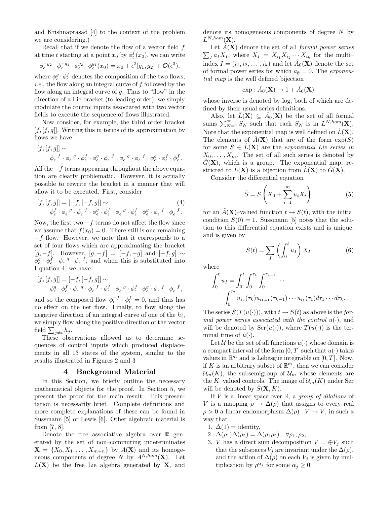and Krishnaprasad [4] to the context of the problem we are considering.)

Recall that if we denote the flow of a vector field  $\sqrt{f}$ at time t starting at a point  $x_0$  by  $\phi_t^f(x_0)$ , we can write

$$
\phi_{\epsilon}^{-g_2} \cdot \phi_{\epsilon}^{-g_1} \cdot \phi_{\epsilon}^{g_2} \cdot \phi_{\epsilon}^{g_1}(x_0) = x_0 + \epsilon^2[g_1, g_2] + \mathcal{O}(\epsilon^3),
$$

where  $\phi_{\epsilon}^{g} \cdot \phi_{\epsilon}^{f}$  denotes the composition of the two flows, *i.e.*, the flow along an integral curve of  $f$  followed by the flow along an integral curve of  $q$ . Thus to "flow" in the direction of a Lie bracket (to leading order), we simply modulate the control inputs associated with two vector fields to execute the sequence of flows illustrated.

Now consider, for example, the third order bracket  $[f, [f,g]]$ . Writing this in terms of its approximation by flows we have

$$
\begin{aligned} \left[f,\left[f,g\right]\right] \sim \\ \phi^{-f}_\epsilon \cdot \phi^{-g}_\epsilon \cdot \phi^f_\epsilon \cdot \phi^g_\epsilon \cdot \phi^{-f}_\epsilon \cdot \phi^{-g}_\epsilon \cdot \phi^{-f}_\epsilon \cdot \phi^g_\epsilon \cdot \phi^f_\epsilon \cdot \phi^f_\epsilon. \end{aligned}
$$

All the −f terms appearing throughout the above equation are clearly problematic. However, it is actually possible to rewrite the bracket in a manner that will allow it to be executed. First, consider

$$
[f, [f, g]] = [-f, [-f, g]] \sim (4)
$$
  

$$
\phi_{\epsilon}^{f} \cdot \phi_{\epsilon}^{-g} \cdot \phi_{\epsilon}^{-f} \cdot \phi_{\epsilon}^{g} \cdot \phi_{\epsilon}^{f} \cdot \phi_{\epsilon}^{-g} \cdot \phi_{\epsilon}^{f} \cdot \phi_{\epsilon}^{-g} \cdot \phi_{\epsilon}^{-f} \cdot \phi_{\epsilon}^{-f}.
$$

Now, the first two  $-f$  terms do not affect the flow since we assume that  $f(x_0) = 0$ . There still is one remaining −f flow. However, we note that it corresponds to a set of four flows which are approximating the bracket  $[g, -f]$ . However,  $[g, -f] = [-f, -g]$  and  $[-f, g] \sim$  $\phi^g_{\epsilon} \cdot \phi^f_{\epsilon} \cdot \phi^{-g}_{\epsilon} \cdot \phi^{-f}_{\epsilon}$ , and when this is substituted into Equation 4, we have

$$
\begin{aligned}[f,[f,g]]&=[-f,[-f,g]]\sim \\ \phi^g_\epsilon\cdot\phi^f_\epsilon\cdot\phi^{-g}_\epsilon\cdot\phi^{-f}_\epsilon\cdot\phi^f_\epsilon\cdot\phi^{-g}_\epsilon\cdot\phi^f_\epsilon\cdot\phi^g_\epsilon\cdot\phi^{-f}_\epsilon\cdot\phi^{-f}_\epsilon, \end{aligned}
$$

and so the composed flow  $\phi_{\epsilon}^{-f} \cdot \phi_{\epsilon}^{f} = 0$ , and thus has no effect on the net flow. Finally, to flow along the negative direction of an integral curve of one of the  $h_i$ , we simply flow along the positive direction of the vector field  $\sum_{j\neq i} h_j$ .

These observations allowed us to determine sequences of control inputs which produced displacements in all 13 states of the system, similar to the results illustrated in Figures 2 and 3

# **4 Background Material**

In this Section, we briefly outline the necessary mathematical objects for the proof. In Section 5, we present the proof for the main result. This presentation is necessarily brief. Complete definitions and more complete explanations of these can be found in Sussmann [5] or Lewis [6]. Other algebraic material is from [7, 8].

Denote the free associative algebra over  $\mathbb R$  generated by the set of non–commuting indeterminates  $\mathbf{X} = \{X_0, X_1, \ldots, X_{m+n}\}\$  by  $A(\mathbf{X})$  and its homogeneous components of degree N by  $A^{N,hom}(\mathbf{X})$ . Let  $L(X)$  be the free Lie algebra generated by X, and denote its homogeneous components of degree  $N$  by  $L^{N,hom}(\mathbf{X}).$ 

Let  $\hat{A}(\mathbf{X})$  denote the set of all *formal power series*  $\sum_{I} a_I X_I$ , where  $X_I = X_{i_1} X_{i_2} \cdots X_{i_k}$  for the multiindex  $I = (i_1, i_2, \dots, i_k)$  and let  $\hat{A}_0(\mathbf{X})$  denote the set of formal power series for which  $a_{\emptyset} = 0$ . The *exponen*tial map is the well defined bijection

$$
\exp: \hat{A}_0(\mathbf{X}) \to 1 + \hat{A}_0(\mathbf{X})
$$

whose inverse is denoted by log, both of which are defined by their usual series definitions.

Also, let  $\tilde{L}(\mathbf{X}) \subseteq A_0(\mathbf{X})$  be the set of all formal sums  $\sum_{N=1}^{\infty} S_N$  such that each  $S_N$  is in  $L^{N,hom}(\mathbf{X})$ . Note that the exponential map is well defined on  $\hat{L}(\mathbf{X})$ . The elements of  $\hat{A}(\mathbf{X})$  that are of the form  $\exp(S)$ for some  $S \in \hat{L}(\mathbf{X})$  are the exponential Lie series in  $X_0,\ldots,X_m$ . The set of all such series is denoted by  $\hat{G}(\mathbf{X})$ , which is a group. The exponential map, restricted to  $\hat{L}(\mathbf{X})$  is a bijection from  $\hat{L}(\mathbf{X})$  to  $\hat{G}(\mathbf{X})$ .

Consider the differential equation

$$
\dot{S} = S\left(X_0 + \sum_{i=1}^{m} u_i X_i\right) \tag{5}
$$

for an  $\hat{A}(\mathbf{X})$ –valued function  $t \to S(t)$ , with the initial condition  $S(0) = 1$ . Sussmann [5] notes that the solution to this differential equation exists and is unique, and is given by

$$
S(t) = \sum_{I} \left( \int_0^t u_I \right) X_I \tag{6}
$$

where

$$
\int_0^t u_I = \int_0^t \int_0^{\tau_k} \int_0^{\tau_{k-1}} \cdots
$$

$$
\int_0^{\tau_2} u_{i_k}(\tau_k) u_{i_{k-1}}(\tau_{k-1}) \cdots u_{i_1}(\tau_1) d\tau_1 \cdots d\tau_k.
$$

The series  $S(T(u(\cdot)))$ , with  $t \to S(t)$  as above is the formal power series associated with the control  $u(\cdot)$ , and will be denoted by  $\text{Ser}(u(\cdot))$ , where  $T(u(\cdot))$  is the terminal time of  $u(\cdot)$ .

Let  $\mathcal U$  be the set of all functions  $u(\cdot)$  whose domain is a compact interval of the form  $[0, T]$  such that  $u(\cdot)$  takes values in  $\mathbb{R}^m$  and is Lebesgue integrable on  $[0, T]$ . Now, if K is an arbitrary subset of  $\mathbb{R}^m$ , then we can consider  $\mathcal{U}_m(K)$ , the subsemigroup of  $\mathcal{U}_m$  whose elements are the K–valued controls. The image of  $\mathcal{U}_m(K)$  under Ser will be denoted by  $\tilde{S}(\mathbf{X}, K)$ .

If V is a linear space over  $\mathbb{R}$ , a group of dilations of V is a mapping  $\rho \to \Delta(\rho)$  that assigns to every real  $\rho > 0$  a linear endomorphism  $\Delta(\rho): V \to V$ , in such a way that

- 1.  $\Delta(1) =$  identity,
- 2.  $\Delta(\rho_1)\Delta(\rho_2) = \Delta(\rho_1 \rho_2) \quad \forall \rho_1, \rho_2$
- 3. *V* has a direct sum decomposition  $V = \bigoplus V_j$  such that the subspaces  $V_j$  are invariant under the  $\Delta(\rho)$ , and the action of  $\Delta(\rho)$  on each  $V_j$  is given by multiplication by  $\rho^{\alpha_j}$  for some  $\alpha_j \geq 0$ .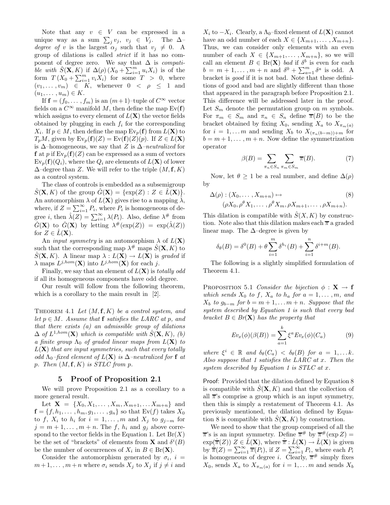Note that any  $v \in V$  can be expressed in a unique way as a sum  $\sum_j v_j$ ,  $v_j \in V_j$ . The  $\Delta$ degree of v is the largest  $\alpha_j$  such that  $v_j \neq 0$ . A group of dilations is called strict if it has no component of degree zero. We say that  $\Delta$  is *compati*ble with  $\hat{S}(\mathbf{X}, K)$  if  $\Delta(\rho) (X_0 + \sum_{i=1}^m u_i X_i)$  is of the form  $T(X_0 + \sum_{i=1}^m v_i X_i)$  for some  $T > 0$ , where  $(v_1,\ldots,v_m) \in K$ , whenever  $0 < \rho \leq 1$  and  $(u_1,\ldots,u_m)\in K.$ 

If **f** =  $(f_0, \ldots, f_m)$  is an  $(m+1)$ –tuple of  $C^{\infty}$  vector fields on a  $C^{\infty}$  manifold M, then define the map  $Ev(\mathbf{f})$ which assigns to every element of  $L(\mathbf{X})$  the vector fields obtained by plugging in each  $f_i$  for the corresponding X<sub>i</sub>. If  $p \in M$ , then define the map  $Ev_p(\mathbf{f})$  from  $L(\mathbf{X})$  to  $T_pM$ , given by  $Ev_p(\mathbf{f})(Z) = Ev(\mathbf{f})(Z)(p)$ . If  $Z \in L(\mathbf{X})$ is ∆–homogeneous, we say that Z is ∆–neutralized for **f** at p if  $Ev_p(f)(Z)$  can be expressed as a sum of vectors  $Ev_p(\mathbf{f})(Q_i)$ , where the  $Q_i$  are elements of  $L(\mathbf{X})$  of lower  $\Delta$ –degree than Z. We will refer to the triple  $(M, \mathbf{f}, K)$ as a control system.

The class of controls is embedded as a subsemigroup  $\hat{S}(\mathbf{X}, K)$  of the group  $\hat{G}(\mathbf{X}) = \{\exp(Z) : Z \in \hat{L}(\mathbf{X})\}.$ An automorphism  $\lambda$  of  $L(\mathbf{X})$  gives rise to a mapping  $\lambda$ , where, if  $Z = \sum_{i=1}^{\infty} P_i$ , where  $P_i$  is homogeneous of degree *i*, then  $\hat{\lambda}(Z) = \sum_{i=1}^{\infty} \lambda(P_i)$ . Also, define  $\lambda^{\#}$  from  $\hat{G}(\mathbf{X})$  to  $\hat{G}(\mathbf{X})$  by letting  $\lambda^{\#}(\exp(Z)) = \exp(\hat{\lambda}(Z))$ for  $Z \in L(\mathbf{X})$ .

An *input symmetry* is an automorphism  $\lambda$  of  $L(\mathbf{X})$ such that the corresponding map  $\lambda^{\#}$  maps  $\hat{S}(\mathbf{X}, K)$  to  $S(\mathbf{X}, K)$ . A linear map  $\lambda : L(\mathbf{X}) \to L(\mathbf{X})$  is graded if  $\lambda$  maps  $L^{j,hom}(\mathbf{X})$  into  $L^{j,hom}(\mathbf{X})$  for each j.

Finally, we say that an element of  $L(\mathbf{X})$  is *totally odd* if all its homogeneous components have odd degree.

Our result will follow from the following theorem, which is a corollary to the main result in [2].

THEOREM 4.1 Let  $(M, \mathbf{f}, K)$  be a control system, and let  $p \in M$ . Assume that **f** satisfies the LARC at p, and that there exists (a) an admissible group of dilations  $\Delta$  of  $L^{1,hom}(\mathbf{X})$  which is compatible with  $\hat{S}(\mathbf{X},K)$ , (b) a finite group  $\Lambda_0$  of graded linear maps from  $L(\mathbf{X})$  to L(**X**) that are input symmetries, such that every totally odd  $\Lambda_0$ –fixed element of  $L(X)$  is  $\Delta$ –neutralized for **f** at p. Then  $(M, \mathbf{f}, K)$  is STLC from p.

#### **5 Proof of Proposition 2.1**

We will prove Proposition 2.1 as a corollary to a more general result.

Let  $X = \{X_0, X_1, \ldots, X_m, X_{m+1}, \ldots, X_{m+n}\}\$ and  $f = \{f, h_1, \ldots, h_m, g_1, \ldots, g_n\}$  so that  $Ev(f)$  takes  $X_0$ to f,  $X_i$  to  $h_i$  for  $i = 1, \ldots, m$  and  $X_j$  to  $g_{j-m}$  for  $j = m + 1, \ldots, m + n$ . The f,  $h_i$  and  $g_j$  above correspond to the vector fields in the Equation 1. Let  $Br(X)$ be the set of "brackets" of elements from **X** and  $\delta^{i}(B)$ be the number of occurrences of  $X_i$  in  $B \in Br(X)$ .

Consider the automorphism generated by  $\sigma_i$ ,  $i =$  $m+1,\ldots,m+n$  where  $\sigma_i$  sends  $X_j$  to  $X_j$  if  $j\neq i$  and  $X_i$  to − $X_i$ . Clearly, a  $Λ_0$ -fixed element of  $L(X)$  cannot have an odd number of each  $X \in \{X_{m+1}, \ldots, X_{m+n}\}.$ Thus, we can consider only elements with an even number of each  $X \in \{X_{m+1}, \ldots, X_{m+n}\}\)$ , so we will call an element  $B \in Br(X)$  bad if  $\delta^b$  is even for each  $b = m + 1, \dots, m + n$  and  $\delta^0 + \sum_{a=1}^m \delta^a$  is odd. A bracket is good if it is not bad. Note that these definitions of good and bad are slightly different than those that appeared in the paragraph before Proposition 2.1. This difference will be addressed later in the proof. Let  $S_m$  denote the permutation group on m symbols. For  $\pi_m \in S_m$  and  $\pi_n \in S_n$  define  $\overline{\pi}(B)$  to be the bracket obtained by fixing  $X_0$ , sending  $X_a$  to  $X_{\pi_m(a)}$ for  $i = 1, \ldots m$  and sending  $X_b$  to  $X_{(\pi_n(b-m))+m}$  for  $b = m + 1, \ldots, m + n$ . Now define the symmetrization operator

$$
\beta(B) = \sum_{\pi_n \in S_n} \sum_{\pi_m \in S_m} \overline{\pi}(B). \tag{7}
$$

Now, let  $\theta \geq 1$  be a real number, and define  $\Delta(\rho)$ by

$$
\Delta(\rho) : (X_0, \dots, X_{m+n}) \mapsto (8)
$$
  

$$
(\rho X_0, \rho^{\theta} X_1, \dots, \rho^{\theta} X_m, \rho X_{m+1}, \dots, \rho X_{m+n}).
$$

This dilation is compatible with  $\hat{S}(X,K)$  by construction. Note also that this dilation makes each  $\bar{\pi}$  a graded linear map. The  $\Delta$ –degree is given by

$$
\delta_{\theta}(B) = \delta^{0}(B) + \theta \sum_{i=1}^{m} \delta^{h_i}(B) + \sum_{i=1}^{n} \delta^{i+m}(B).
$$

The following is a slightly simplified formulation of Theorem 4.1.

PROPOSITION 5.1 Consider the bijection  $\phi : \mathbf{X} \to \mathbf{f}$ which sends  $X_0$  to f,  $X_a$  to  $h_a$  for  $a = 1, \ldots, m$ , and  $X_b$  to  $g_{b-m}$  for  $b = m + 1, \ldots m + n$ . Suppose that the system described by Equation 1 is such that every bad bracket  $B \in Br(X)$  has the property that

$$
Ev_x(\phi)(\beta(B)) = \sum_{a=1}^k \xi^a Ev_x(\phi)(C_a)
$$
 (9)

where  $\xi^i \in \mathbb{R}$  and  $\delta_\theta(C_a) < \delta_\theta(B)$  for  $a = 1, \ldots k$ . Also suppose that 1 satisfies the LARC at x. Then the system described by Equation 1 is STLC at x.

Proof: Provided that the dilation defined by Equation 8 is compatible with  $\hat{S}(\mathbf{X}, K)$  and that the collection of all  $\bar{\pi}$ 's comprise a group which is an input symmetry, then this is simply a restatement of Theorem 4.1. As previously mentioned, the dilation defined by Equation 8 is compatible with  $\tilde{S}(\mathbf{X}, K)$  by construction.

We need to show that the group comprised of all the  $\overline{\pi}$ 's is an input symmetry. Define  $\overline{\pi}^{\#}$  by  $\overline{\pi}^{\#}$  (exp Z) =  $\exp(\hat{\overline{\pi}}(Z))$   $Z \in \hat{L}(\mathbf{X})$ , where  $\hat{\overline{\pi}} : \hat{L}(\mathbf{X}) \to \hat{L}(\mathbf{X})$  is given by  $\hat{\pi}(Z) = \sum_{i=1}^{\infty} \overline{\pi}(P_i)$ , if  $Z = \sum_{i=1}^{\infty} P_i$ , where each  $P_i$ is homogeneous of degree i. Clearly,  $\overline{\pi}^{\#}$  simply fixes  $X_0$ , sends  $X_a$  to  $X_{\pi_m(a)}$  for  $i = 1, \ldots m$  and sends  $X_b$